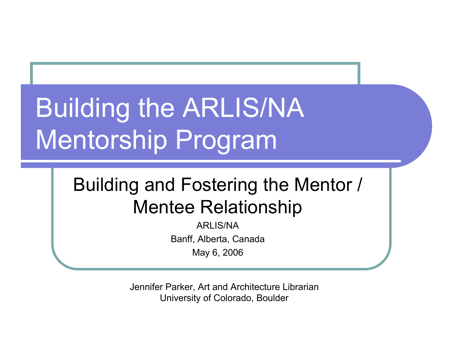# Building the ARLIS/NA Mentorship Program

#### Building and Fostering the Mentor / Mentee Relationship

ARLIS/NA Banff, Alberta, Canada May 6, 2006

Jennifer Parker, Art and Architecture Librarian University of Colorado, Boulder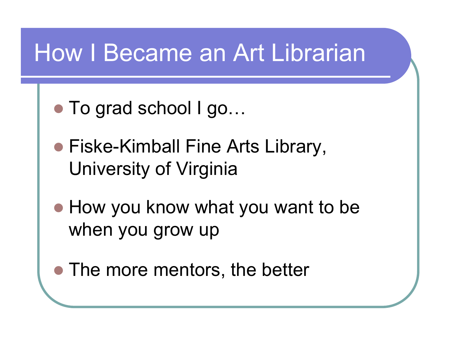#### How I Became an Art Librarian

- To grad school I go...
- Fiske-Kimball Fine Arts Library, University of Virginia
- How you know what you want to be when you grow up
- The more mentors, the better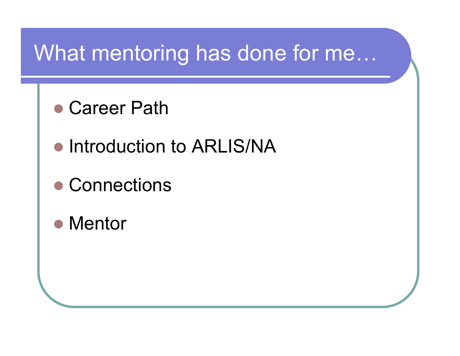#### What mentoring has done for me…

- Career Path
- **Introduction to ARLIS/NA**
- Connections
- Mentor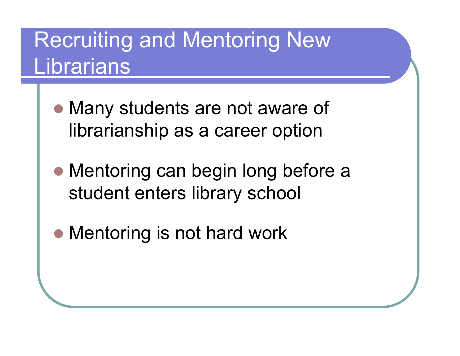#### Recruiting and Mentoring New Librarians

- Many students are not aware of librarianship as a career option
- Mentoring can begin long before a student enters library school
- Mentoring is not hard work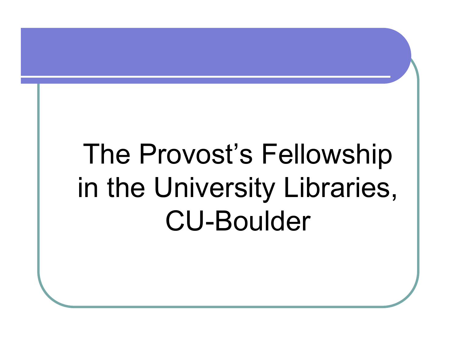# The Provost's Fellowship in the University Libraries, CU-Boulder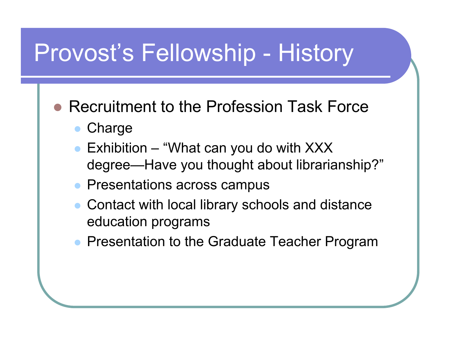### Provost's Fellowship - History

- Recruitment to the Profession Task Force
	- **Charge**
	- Exhibition "What can you do with XXX degree—Have you thought about librarianship?"
	- Presentations across campus
	- Contact with local library schools and distance education programs
	- Presentation to the Graduate Teacher Program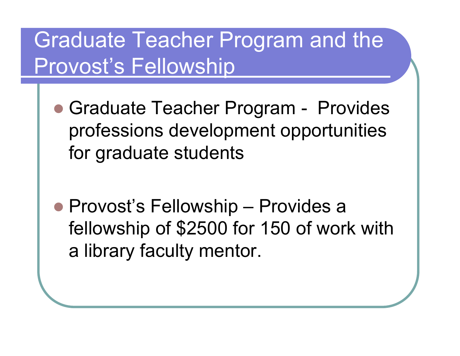#### Graduate Teacher Program and the Provost's Fellowship

- Graduate Teacher Program Provides professions development opportunities for graduate students
- Provost's Fellowship Provides a fellowship of \$2500 for 150 of work with a library faculty mentor.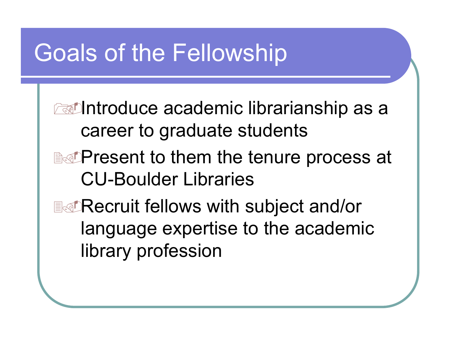#### Goals of the Fellowship

**Extending to a cademic librarianship as a** career to graduate students **EXPresent to them the tenure process at** CU-Boulder Libraries **EXPECTUIT FELLOWS with subject and/or** language expertise to the academic library profession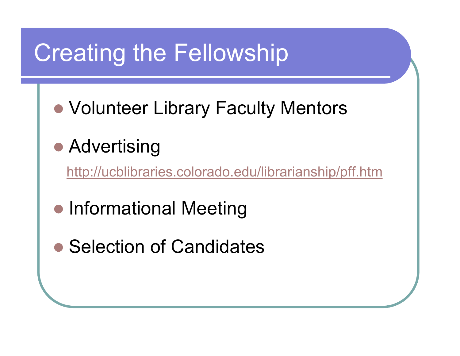## Creating the Fellowship

● Volunteer Library Faculty Mentors

#### **• Advertising**

http://ucblibraries.colorado.edu/librarianship/pff.htm

- Informational Meeting
- Selection of Candidates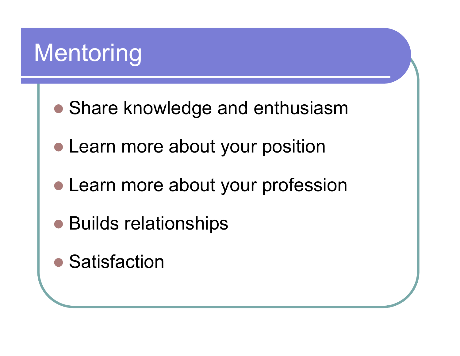## **Mentoring**

- Share knowledge and enthusiasm
- Learn more about your position
- Learn more about your profession
- Builds relationships
- Satisfaction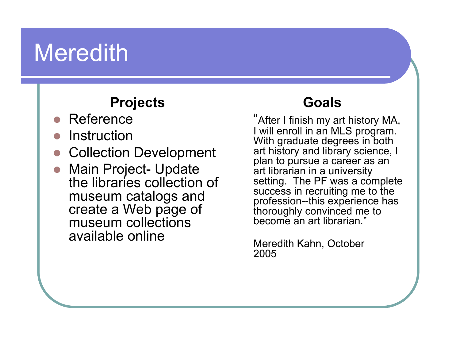#### **Meredith**

#### **Projects**

- Reference
- **Instruction**
- Collection Development
- **Main Project- Update** the libraries collection of museum catalogs and create a Web page of museum collections available online

#### **Goals**

"After I finish my art history MA, I will enroll in an MLS program. With graduate degrees in both art history and library science, I plan to pursue a career as an art librarian in a university setting. The PF was a complete success in recruiting me to the profession--this experience has thoroughly convinced me to become an art librarian."

Meredith Kahn, October 2005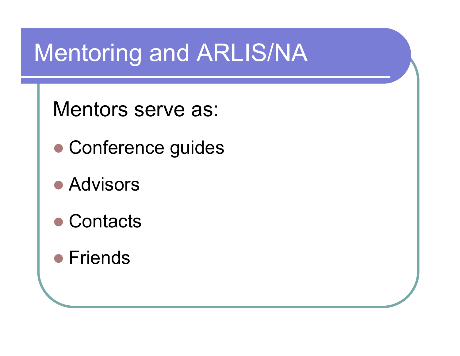## Mentoring and ARLIS/NA

Mentors serve as:

- Conference guides
- **Advisors**
- Contacts
- **•** Friends